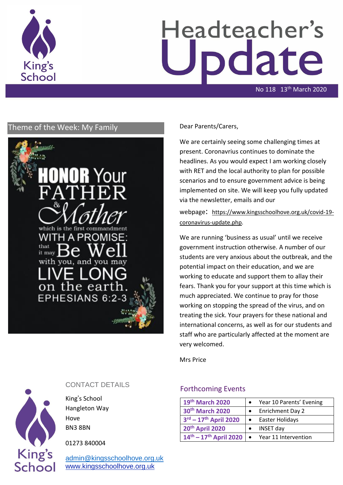

# Headteacher's date

No 118 13th March 2020

# Theme of the Week: My Family Dear Parents/Carers,



We are certainly seeing some challenging times at present. Coronavrius continues to dominate the headlines. As you would expect I am working closely with RET and the local authority to plan for possible scenarios and to ensure government advice is being implemented on site. We will keep you fully updated via the newsletter, emails and our

webpage: [https://www.kingsschoolhove.org.uk/covid-19](https://www.kingsschoolhove.org.uk/covid-19-coronavirus-update.php) [coronavirus-update.php.](https://www.kingsschoolhove.org.uk/covid-19-coronavirus-update.php)

We are running 'business as usual' until we receive government instruction otherwise. A number of our students are very anxious about the outbreak, and the potential impact on their education, and we are working to educate and support them to allay their fears. Thank you for your support at this time which is much appreciated. We continue to pray for those working on stopping the spread of the virus, and on treating the sick. Your prayers for these national and international concerns, as well as for our students and staff who are particularly affected at the moment are very welcomed.

Mrs Price

#### Forthcoming Events

| 19th March 2020                |           | Year 10 Parents' Evening |
|--------------------------------|-----------|--------------------------|
| 30th March 2020                |           | <b>Enrichment Day 2</b>  |
| $3^{rd} - 17^{th}$ April 2020  |           | Easter Holidays          |
| 20th April 2020                |           | INSET day                |
| $14^{th} - 17^{th}$ April 2020 | $\bullet$ | Year 11 Intervention     |



### CONTACT DETAILS

King's School Hangleton Way Hove BN3 8BN

01273 840004

[admin@kingsschoolhove.org.uk](mailto:admin@kingsschoolhove.org.uk) [www.kingsschoolhove.org.uk](http://www.kingsschoolhove.org.uk/)